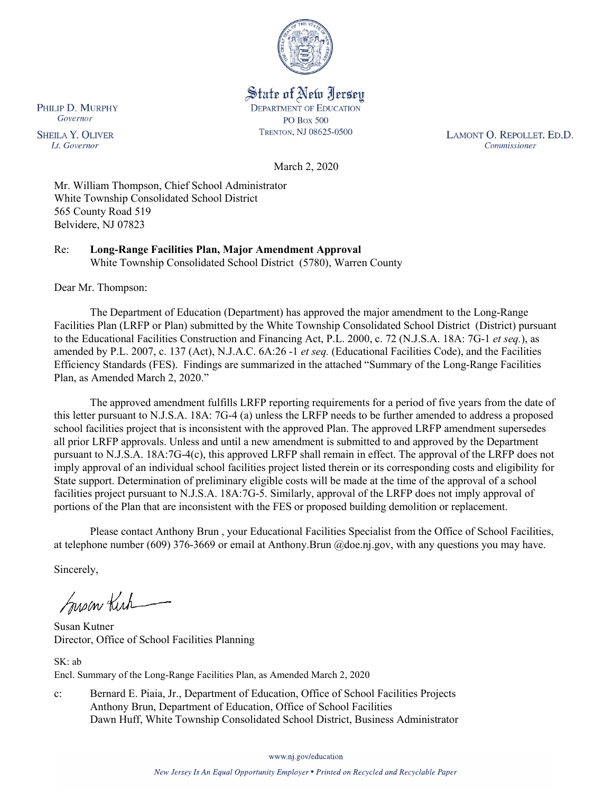

State of New Jersey **DEPARTMENT OF EDUCATION PO Box 500** TRENTON, NJ 08625-0500

LAMONT O. REPOLLET, ED.D. Commissioner

March 2, 2020

Mr. William Thompson, Chief School Administrator White Township Consolidated School District 565 County Road 519 Belvidere, NJ 07823

Re: **Long-Range Facilities Plan, Major Amendment Approval** White Township Consolidated School District (5780), Warren County

Dear Mr. Thompson:

The Department of Education (Department) has approved the major amendment to the Long-Range Facilities Plan (LRFP or Plan) submitted by the White Township Consolidated School District (District) pursuant to the Educational Facilities Construction and Financing Act, P.L. 2000, c. 72 (N.J.S.A. 18A: 7G-1 *et seq.*), as amended by P.L. 2007, c. 137 (Act), N.J.A.C. 6A:26 -1 *et seq.* (Educational Facilities Code), and the Facilities Efficiency Standards (FES). Findings are summarized in the attached "Summary of the Long-Range Facilities Plan, as Amended March 2, 2020."

The approved amendment fulfills LRFP reporting requirements for a period of five years from the date of this letter pursuant to N.J.S.A. 18A: 7G-4 (a) unless the LRFP needs to be further amended to address a proposed school facilities project that is inconsistent with the approved Plan. The approved LRFP amendment supersedes all prior LRFP approvals. Unless and until a new amendment is submitted to and approved by the Department pursuant to N.J.S.A. 18A:7G-4(c), this approved LRFP shall remain in effect. The approval of the LRFP does not imply approval of an individual school facilities project listed therein or its corresponding costs and eligibility for State support. Determination of preliminary eligible costs will be made at the time of the approval of a school facilities project pursuant to N.J.S.A. 18A:7G-5. Similarly, approval of the LRFP does not imply approval of portions of the Plan that are inconsistent with the FES or proposed building demolition or replacement.

Please contact Anthony Brun , your Educational Facilities Specialist from the Office of School Facilities, at telephone number (609) 376-3669 or email at Anthony.Brun @doe.nj.gov, with any questions you may have.

Sincerely,

Susan Kich

Susan Kutner Director, Office of School Facilities Planning

SK: ab Encl. Summary of the Long-Range Facilities Plan, as Amended March 2, 2020

c: Bernard E. Piaia, Jr., Department of Education, Office of School Facilities Projects Anthony Brun, Department of Education, Office of School Facilities Dawn Huff, White Township Consolidated School District, Business Administrator

www.nj.gov/education

New Jersey Is An Equal Opportunity Employer . Printed on Recycled and Recyclable Paper

PHILIP D. MURPHY Governor

**SHEILA Y. OLIVER** Lt. Governor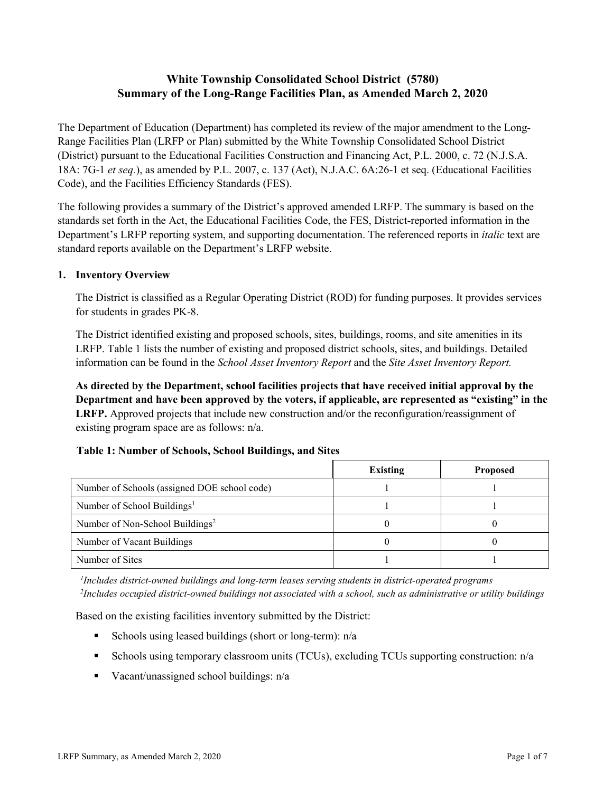# **White Township Consolidated School District (5780) Summary of the Long-Range Facilities Plan, as Amended March 2, 2020**

The Department of Education (Department) has completed its review of the major amendment to the Long-Range Facilities Plan (LRFP or Plan) submitted by the White Township Consolidated School District (District) pursuant to the Educational Facilities Construction and Financing Act, P.L. 2000, c. 72 (N.J.S.A. 18A: 7G-1 *et seq.*), as amended by P.L. 2007, c. 137 (Act), N.J.A.C. 6A:26-1 et seq. (Educational Facilities Code), and the Facilities Efficiency Standards (FES).

The following provides a summary of the District's approved amended LRFP. The summary is based on the standards set forth in the Act, the Educational Facilities Code, the FES, District-reported information in the Department's LRFP reporting system, and supporting documentation. The referenced reports in *italic* text are standard reports available on the Department's LRFP website.

#### **1. Inventory Overview**

The District is classified as a Regular Operating District (ROD) for funding purposes. It provides services for students in grades PK-8.

The District identified existing and proposed schools, sites, buildings, rooms, and site amenities in its LRFP. Table 1 lists the number of existing and proposed district schools, sites, and buildings. Detailed information can be found in the *School Asset Inventory Report* and the *Site Asset Inventory Report.*

**As directed by the Department, school facilities projects that have received initial approval by the Department and have been approved by the voters, if applicable, are represented as "existing" in the LRFP.** Approved projects that include new construction and/or the reconfiguration/reassignment of existing program space are as follows: n/a.

#### **Table 1: Number of Schools, School Buildings, and Sites**

|                                              | <b>Existing</b> | <b>Proposed</b> |
|----------------------------------------------|-----------------|-----------------|
| Number of Schools (assigned DOE school code) |                 |                 |
| Number of School Buildings <sup>1</sup>      |                 |                 |
| Number of Non-School Buildings <sup>2</sup>  |                 |                 |
| Number of Vacant Buildings                   |                 |                 |
| Number of Sites                              |                 |                 |

*1 Includes district-owned buildings and long-term leases serving students in district-operated programs 2 Includes occupied district-owned buildings not associated with a school, such as administrative or utility buildings*

Based on the existing facilities inventory submitted by the District:

- Schools using leased buildings (short or long-term):  $n/a$
- Schools using temporary classroom units (TCUs), excluding TCUs supporting construction: n/a
- Vacant/unassigned school buildings:  $n/a$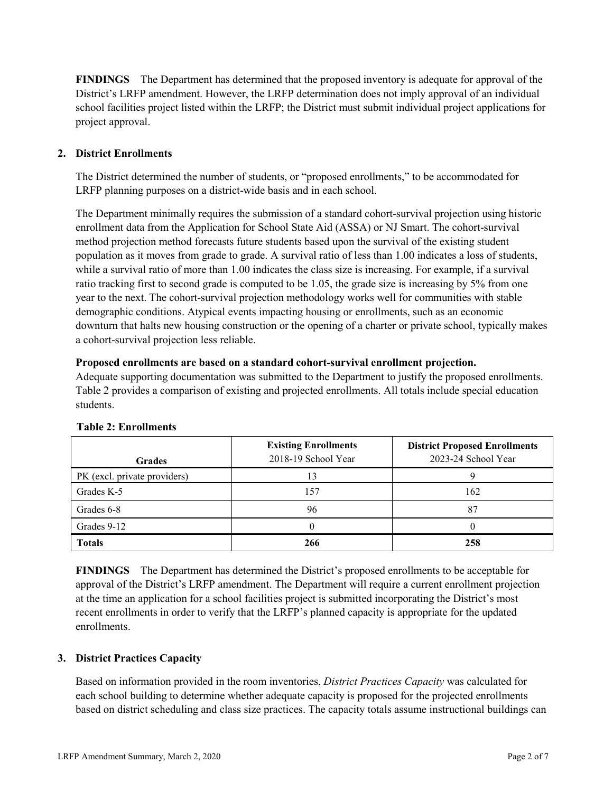**FINDINGS** The Department has determined that the proposed inventory is adequate for approval of the District's LRFP amendment. However, the LRFP determination does not imply approval of an individual school facilities project listed within the LRFP; the District must submit individual project applications for project approval.

# **2. District Enrollments**

The District determined the number of students, or "proposed enrollments," to be accommodated for LRFP planning purposes on a district-wide basis and in each school.

The Department minimally requires the submission of a standard cohort-survival projection using historic enrollment data from the Application for School State Aid (ASSA) or NJ Smart. The cohort-survival method projection method forecasts future students based upon the survival of the existing student population as it moves from grade to grade. A survival ratio of less than 1.00 indicates a loss of students, while a survival ratio of more than 1.00 indicates the class size is increasing. For example, if a survival ratio tracking first to second grade is computed to be 1.05, the grade size is increasing by 5% from one year to the next. The cohort-survival projection methodology works well for communities with stable demographic conditions. Atypical events impacting housing or enrollments, such as an economic downturn that halts new housing construction or the opening of a charter or private school, typically makes a cohort-survival projection less reliable.

#### **Proposed enrollments are based on a standard cohort-survival enrollment projection.**

Adequate supporting documentation was submitted to the Department to justify the proposed enrollments. Table 2 provides a comparison of existing and projected enrollments. All totals include special education students.

| <b>Grades</b>                | <b>Existing Enrollments</b><br>2018-19 School Year | <b>District Proposed Enrollments</b><br>2023-24 School Year |
|------------------------------|----------------------------------------------------|-------------------------------------------------------------|
| PK (excl. private providers) |                                                    |                                                             |
| Grades K-5                   | 157                                                | 162                                                         |
| Grades 6-8                   | 96                                                 | 87                                                          |
| Grades 9-12                  |                                                    |                                                             |
| <b>Totals</b>                | 266                                                | 258                                                         |

# **Table 2: Enrollments**

**FINDINGS** The Department has determined the District's proposed enrollments to be acceptable for approval of the District's LRFP amendment. The Department will require a current enrollment projection at the time an application for a school facilities project is submitted incorporating the District's most recent enrollments in order to verify that the LRFP's planned capacity is appropriate for the updated enrollments.

# **3. District Practices Capacity**

Based on information provided in the room inventories, *District Practices Capacity* was calculated for each school building to determine whether adequate capacity is proposed for the projected enrollments based on district scheduling and class size practices. The capacity totals assume instructional buildings can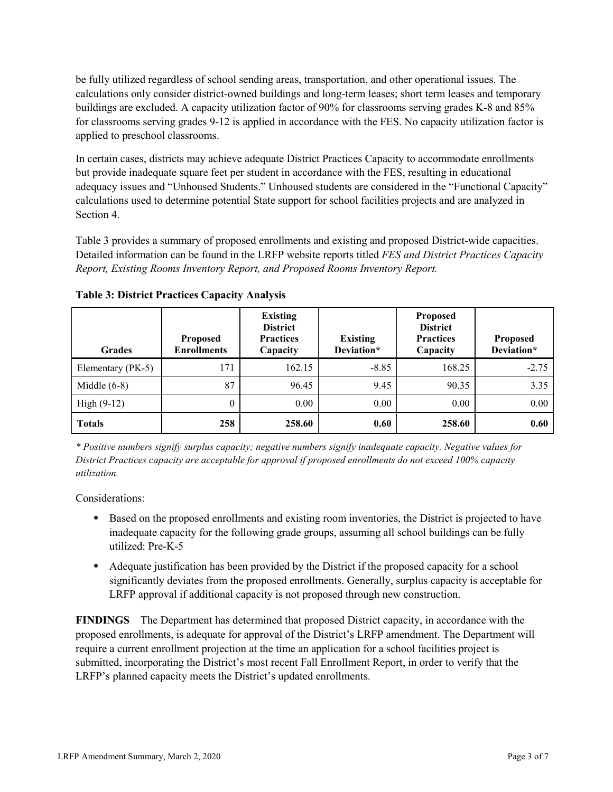be fully utilized regardless of school sending areas, transportation, and other operational issues. The calculations only consider district-owned buildings and long-term leases; short term leases and temporary buildings are excluded. A capacity utilization factor of 90% for classrooms serving grades K-8 and 85% for classrooms serving grades 9-12 is applied in accordance with the FES. No capacity utilization factor is applied to preschool classrooms.

In certain cases, districts may achieve adequate District Practices Capacity to accommodate enrollments but provide inadequate square feet per student in accordance with the FES, resulting in educational adequacy issues and "Unhoused Students." Unhoused students are considered in the "Functional Capacity" calculations used to determine potential State support for school facilities projects and are analyzed in Section 4.

Table 3 provides a summary of proposed enrollments and existing and proposed District-wide capacities. Detailed information can be found in the LRFP website reports titled *FES and District Practices Capacity Report, Existing Rooms Inventory Report, and Proposed Rooms Inventory Report.*

| <b>Grades</b>     | <b>Proposed</b><br><b>Enrollments</b> | <b>Existing</b><br><b>District</b><br><b>Practices</b><br>Capacity | <b>Existing</b><br>Deviation* | <b>Proposed</b><br><b>District</b><br><b>Practices</b><br>Capacity | <b>Proposed</b><br>Deviation* |
|-------------------|---------------------------------------|--------------------------------------------------------------------|-------------------------------|--------------------------------------------------------------------|-------------------------------|
| Elementary (PK-5) | 171                                   | 162.15                                                             | $-8.85$                       | 168.25                                                             | $-2.75$                       |
| Middle $(6-8)$    | 87                                    | 96.45                                                              | 9.45                          | 90.35                                                              | 3.35                          |
| High $(9-12)$     | $\theta$                              | 0.00                                                               | 0.00                          | 0.00                                                               | 0.00                          |
| <b>Totals</b>     | 258                                   | 258.60                                                             | 0.60                          | 258.60                                                             | 0.60                          |

**Table 3: District Practices Capacity Analysis**

*\* Positive numbers signify surplus capacity; negative numbers signify inadequate capacity. Negative values for District Practices capacity are acceptable for approval if proposed enrollments do not exceed 100% capacity utilization.*

Considerations:

- **Based on the proposed enrollments and existing room inventories, the District is projected to have** inadequate capacity for the following grade groups, assuming all school buildings can be fully utilized: Pre-K-5
- Adequate justification has been provided by the District if the proposed capacity for a school significantly deviates from the proposed enrollments. Generally, surplus capacity is acceptable for LRFP approval if additional capacity is not proposed through new construction.

**FINDINGS**The Department has determined that proposed District capacity, in accordance with the proposed enrollments, is adequate for approval of the District's LRFP amendment. The Department will require a current enrollment projection at the time an application for a school facilities project is submitted, incorporating the District's most recent Fall Enrollment Report, in order to verify that the LRFP's planned capacity meets the District's updated enrollments.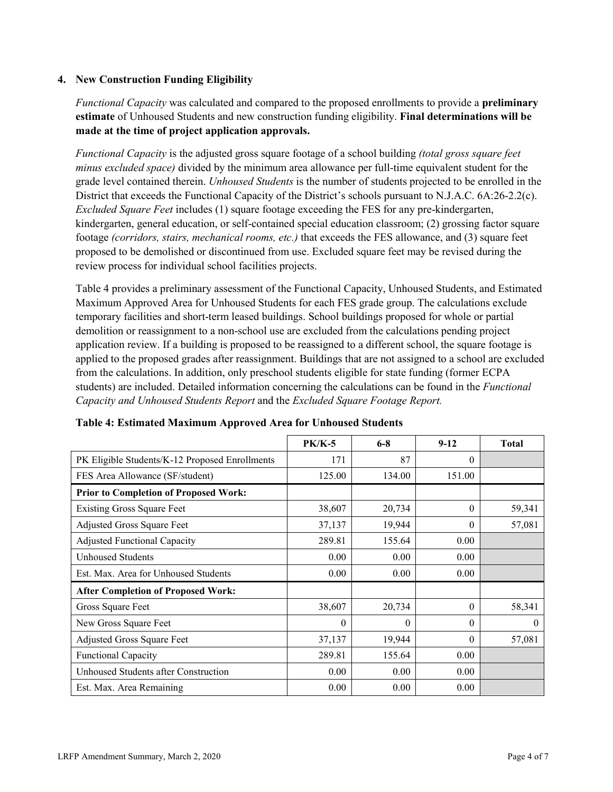#### **4. New Construction Funding Eligibility**

*Functional Capacity* was calculated and compared to the proposed enrollments to provide a **preliminary estimate** of Unhoused Students and new construction funding eligibility. **Final determinations will be made at the time of project application approvals.**

*Functional Capacity* is the adjusted gross square footage of a school building *(total gross square feet minus excluded space)* divided by the minimum area allowance per full-time equivalent student for the grade level contained therein. *Unhoused Students* is the number of students projected to be enrolled in the District that exceeds the Functional Capacity of the District's schools pursuant to N.J.A.C. 6A:26-2.2(c). *Excluded Square Feet* includes (1) square footage exceeding the FES for any pre-kindergarten, kindergarten, general education, or self-contained special education classroom; (2) grossing factor square footage *(corridors, stairs, mechanical rooms, etc.)* that exceeds the FES allowance, and (3) square feet proposed to be demolished or discontinued from use. Excluded square feet may be revised during the review process for individual school facilities projects.

Table 4 provides a preliminary assessment of the Functional Capacity, Unhoused Students, and Estimated Maximum Approved Area for Unhoused Students for each FES grade group. The calculations exclude temporary facilities and short-term leased buildings. School buildings proposed for whole or partial demolition or reassignment to a non-school use are excluded from the calculations pending project application review. If a building is proposed to be reassigned to a different school, the square footage is applied to the proposed grades after reassignment. Buildings that are not assigned to a school are excluded from the calculations. In addition, only preschool students eligible for state funding (former ECPA students) are included. Detailed information concerning the calculations can be found in the *Functional Capacity and Unhoused Students Report* and the *Excluded Square Footage Report.*

|                                                | <b>PK/K-5</b> | $6 - 8$ | $9 - 12$ | <b>Total</b> |
|------------------------------------------------|---------------|---------|----------|--------------|
| PK Eligible Students/K-12 Proposed Enrollments | 171           | 87      | $\theta$ |              |
| FES Area Allowance (SF/student)                | 125.00        | 134.00  | 151.00   |              |
| <b>Prior to Completion of Proposed Work:</b>   |               |         |          |              |
| <b>Existing Gross Square Feet</b>              | 38,607        | 20,734  | $\theta$ | 59,341       |
| Adjusted Gross Square Feet                     | 37,137        | 19,944  | $\theta$ | 57,081       |
| <b>Adjusted Functional Capacity</b>            | 289.81        | 155.64  | 0.00     |              |
| Unhoused Students                              | 0.00          | 0.00    | 0.00     |              |
| Est. Max. Area for Unhoused Students           | 0.00          | 0.00    | 0.00     |              |
| <b>After Completion of Proposed Work:</b>      |               |         |          |              |
| Gross Square Feet                              | 38,607        | 20,734  | $\theta$ | 58,341       |
| New Gross Square Feet                          | $\theta$      | 0       | $\theta$ | $\theta$     |
| Adjusted Gross Square Feet                     | 37,137        | 19,944  | $\Omega$ | 57,081       |
| Functional Capacity                            | 289.81        | 155.64  | 0.00     |              |
| Unhoused Students after Construction           | 0.00          | 0.00    | 0.00     |              |
| Est. Max. Area Remaining                       | 0.00          | 0.00    | 0.00     |              |

**Table 4: Estimated Maximum Approved Area for Unhoused Students**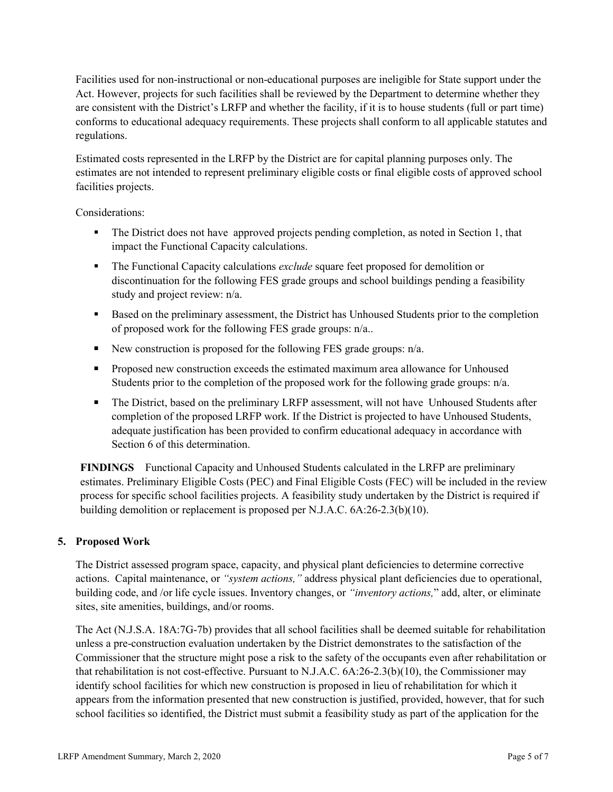Facilities used for non-instructional or non-educational purposes are ineligible for State support under the Act. However, projects for such facilities shall be reviewed by the Department to determine whether they are consistent with the District's LRFP and whether the facility, if it is to house students (full or part time) conforms to educational adequacy requirements. These projects shall conform to all applicable statutes and regulations.

Estimated costs represented in the LRFP by the District are for capital planning purposes only. The estimates are not intended to represent preliminary eligible costs or final eligible costs of approved school facilities projects.

Considerations:

- The District does not have approved projects pending completion, as noted in Section 1, that impact the Functional Capacity calculations.
- The Functional Capacity calculations *exclude* square feet proposed for demolition or discontinuation for the following FES grade groups and school buildings pending a feasibility study and project review: n/a.
- Based on the preliminary assessment, the District has Unhoused Students prior to the completion of proposed work for the following FES grade groups: n/a..
- New construction is proposed for the following FES grade groups:  $n/a$ .
- **Proposed new construction exceeds the estimated maximum area allowance for Unhoused** Students prior to the completion of the proposed work for the following grade groups: n/a.
- The District, based on the preliminary LRFP assessment, will not have Unhoused Students after completion of the proposed LRFP work. If the District is projected to have Unhoused Students, adequate justification has been provided to confirm educational adequacy in accordance with Section 6 of this determination.

**FINDINGS** Functional Capacity and Unhoused Students calculated in the LRFP are preliminary estimates. Preliminary Eligible Costs (PEC) and Final Eligible Costs (FEC) will be included in the review process for specific school facilities projects. A feasibility study undertaken by the District is required if building demolition or replacement is proposed per N.J.A.C. 6A:26-2.3(b)(10).

# **5. Proposed Work**

The District assessed program space, capacity, and physical plant deficiencies to determine corrective actions. Capital maintenance, or *"system actions,"* address physical plant deficiencies due to operational, building code, and /or life cycle issues. Inventory changes, or *"inventory actions,*" add, alter, or eliminate sites, site amenities, buildings, and/or rooms.

The Act (N.J.S.A. 18A:7G-7b) provides that all school facilities shall be deemed suitable for rehabilitation unless a pre-construction evaluation undertaken by the District demonstrates to the satisfaction of the Commissioner that the structure might pose a risk to the safety of the occupants even after rehabilitation or that rehabilitation is not cost-effective. Pursuant to N.J.A.C. 6A:26-2.3(b)(10), the Commissioner may identify school facilities for which new construction is proposed in lieu of rehabilitation for which it appears from the information presented that new construction is justified, provided, however, that for such school facilities so identified, the District must submit a feasibility study as part of the application for the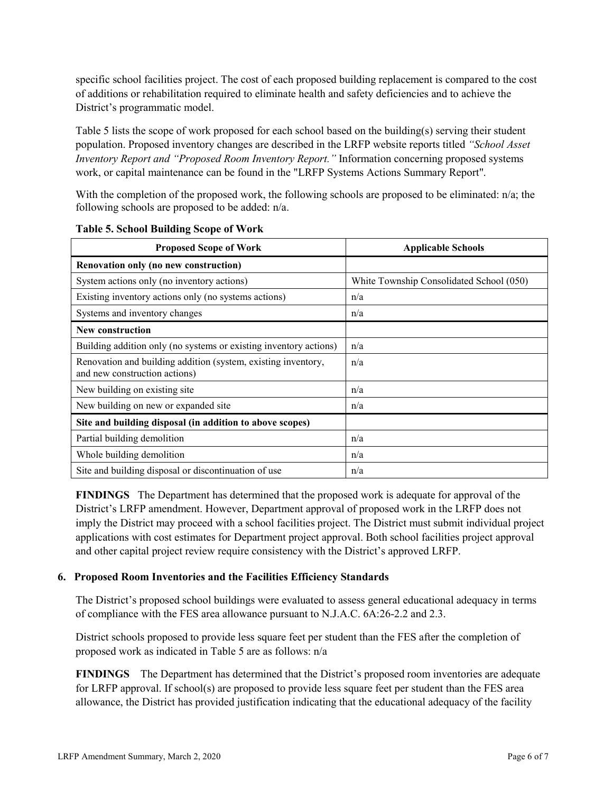specific school facilities project. The cost of each proposed building replacement is compared to the cost of additions or rehabilitation required to eliminate health and safety deficiencies and to achieve the District's programmatic model.

Table 5 lists the scope of work proposed for each school based on the building(s) serving their student population. Proposed inventory changes are described in the LRFP website reports titled *"School Asset Inventory Report and "Proposed Room Inventory Report."* Information concerning proposed systems work, or capital maintenance can be found in the "LRFP Systems Actions Summary Report".

With the completion of the proposed work, the following schools are proposed to be eliminated: n/a; the following schools are proposed to be added: n/a.

| <b>Proposed Scope of Work</b>                                                                  | <b>Applicable Schools</b>                |
|------------------------------------------------------------------------------------------------|------------------------------------------|
| Renovation only (no new construction)                                                          |                                          |
| System actions only (no inventory actions)                                                     | White Township Consolidated School (050) |
| Existing inventory actions only (no systems actions)                                           | n/a                                      |
| Systems and inventory changes                                                                  | n/a                                      |
| <b>New construction</b>                                                                        |                                          |
| Building addition only (no systems or existing inventory actions)                              | n/a                                      |
| Renovation and building addition (system, existing inventory,<br>and new construction actions) | n/a                                      |
| New building on existing site                                                                  | n/a                                      |
| New building on new or expanded site                                                           | n/a                                      |
| Site and building disposal (in addition to above scopes)                                       |                                          |
| Partial building demolition                                                                    | n/a                                      |
| Whole building demolition                                                                      | n/a                                      |
| Site and building disposal or discontinuation of use                                           | n/a                                      |

**Table 5. School Building Scope of Work**

**FINDINGS** The Department has determined that the proposed work is adequate for approval of the District's LRFP amendment. However, Department approval of proposed work in the LRFP does not imply the District may proceed with a school facilities project. The District must submit individual project applications with cost estimates for Department project approval. Both school facilities project approval and other capital project review require consistency with the District's approved LRFP.

# **6. Proposed Room Inventories and the Facilities Efficiency Standards**

The District's proposed school buildings were evaluated to assess general educational adequacy in terms of compliance with the FES area allowance pursuant to N.J.A.C. 6A:26-2.2 and 2.3.

District schools proposed to provide less square feet per student than the FES after the completion of proposed work as indicated in Table 5 are as follows: n/a

**FINDINGS** The Department has determined that the District's proposed room inventories are adequate for LRFP approval. If school(s) are proposed to provide less square feet per student than the FES area allowance, the District has provided justification indicating that the educational adequacy of the facility